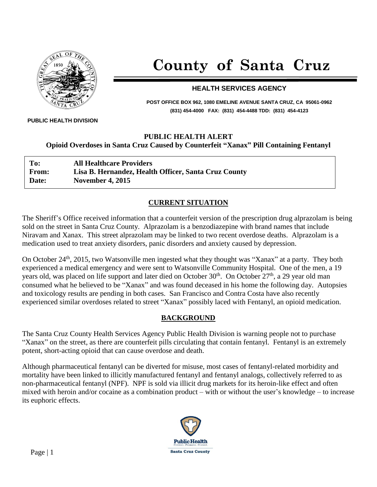

# **County of Santa Cruz**

#### **HEALTH SERVICES AGENCY**

**POST OFFICE BOX 962, 1080 EMELINE AVENUE SANTA CRUZ, CA 95061-0962 (831) 454-4000 FAX: (831) 454-4488 TDD: (831) 454-4123**

 **PUBLIC HEALTH DIVISION**

#### **PUBLIC HEALTH ALERT**

**Opioid Overdoses in Santa Cruz Caused by Counterfeit "Xanax" Pill Containing Fentanyl**

**To: All Healthcare Providers From: Lisa B. Hernandez, Health Officer, Santa Cruz County Date: November 4, 2015**

## **CURRENT SITUATION**

The Sheriff's Office received information that a counterfeit version of the prescription drug alprazolam is being sold on the street in Santa Cruz County. Alprazolam is a benzodiazepine with brand names that include Niravam and Xanax. This street alprazolam may be linked to two recent overdose deaths. Alprazolam is a medication used to treat anxiety disorders, panic disorders and anxiety caused by depression.

On October 24<sup>th</sup>, 2015, two Watsonville men ingested what they thought was "Xanax" at a party. They both experienced a medical emergency and were sent to Watsonville Community Hospital. One of the men, a 19 years old, was placed on life support and later died on October 30<sup>th</sup>. On October 27<sup>th</sup>, a 29 year old man consumed what he believed to be "Xanax" and was found deceased in his home the following day. Autopsies and toxicology results are pending in both cases. San Francisco and Contra Costa have also recently experienced similar overdoses related to street "Xanax" possibly laced with Fentanyl, an opioid medication.

### **BACKGROUND**

The Santa Cruz County Health Services Agency Public Health Division is warning people not to purchase "Xanax" on the street, as there are counterfeit pills circulating that contain fentanyl. Fentanyl is an extremely potent, short-acting opioid that can cause overdose and death.

Although pharmaceutical fentanyl can be diverted for misuse, most cases of fentanyl-related morbidity and mortality have been linked to illicitly manufactured fentanyl and fentanyl analogs, collectively referred to as non-pharmaceutical fentanyl (NPF). NPF is sold via illicit drug markets for its heroin-like effect and often mixed with heroin and/or cocaine as a combination product – with or without the user's knowledge – to increase its euphoric effects.